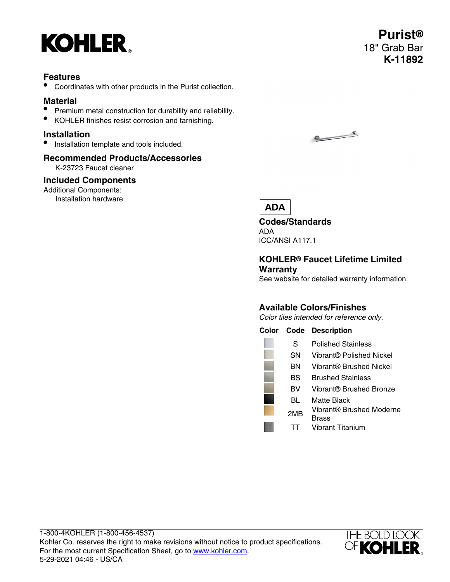

### **Features**

• Coordinates with other products in the Purist collection.

### **Material**

- Premium metal construction for durability and reliability.
- KOHLER finishes resist corrosion and tarnishing.

### **Installation**

• Installation template and tools included.

## **Recommended Products/Accessories**

K-23723 Faucet cleaner

### **Included Components**

Additional Components: Installation hardware



**Purist®**

**K-11892**

18" Grab Bar

# **ADA**

**Codes/Standards** ADA ICC/ANSI A117.1

### **KOHLER® Faucet Lifetime Limited Warranty**

See website for detailed warranty information.

# **Available Colors/Finishes**

Color tiles intended for reference only.